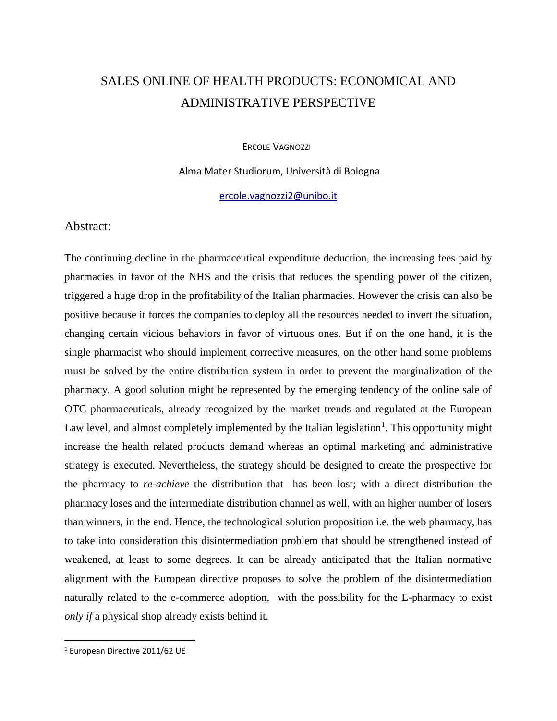# SALES ONLINE OF HEALTH PRODUCTS: ECONOMICAL AND ADMINISTRATIVE PERSPECTIVE

ERCOLE VAGNOZZI

Alma Mater Studiorum, Università di Bologna

[ercole.vagnozzi2@unibo.it](mailto:ercole.vagnozzi2@unibo.it)

## Abstract:

The continuing decline in the pharmaceutical expenditure deduction, the increasing fees paid by pharmacies in favor of the NHS and the crisis that reduces the spending power of the citizen, triggered a huge drop in the profitability of the Italian pharmacies. However the crisis can also be positive because it forces the companies to deploy all the resources needed to invert the situation, changing certain vicious behaviors in favor of virtuous ones. But if on the one hand, it is the single pharmacist who should implement corrective measures, on the other hand some problems must be solved by the entire distribution system in order to prevent the marginalization of the pharmacy. A good solution might be represented by the emerging tendency of the online sale of OTC pharmaceuticals, already recognized by the market trends and regulated at the European Law level, and almost completely implemented by the Italian legislation<sup>1</sup>. This opportunity might increase the health related products demand whereas an optimal marketing and administrative strategy is executed. Nevertheless, the strategy should be designed to create the prospective for the pharmacy to *re-achieve* the distribution that has been lost; with a direct distribution the pharmacy loses and the intermediate distribution channel as well, with an higher number of losers than winners, in the end. Hence, the technological solution proposition i.e. the web pharmacy, has to take into consideration this disintermediation problem that should be strengthened instead of weakened, at least to some degrees. It can be already anticipated that the Italian normative alignment with the European directive proposes to solve the problem of the disintermediation naturally related to the e-commerce adoption, with the possibility for the E-pharmacy to exist *only if* a physical shop already exists behind it.

 $\overline{\phantom{a}}$ 

<sup>1</sup> European Directive 2011/62 UE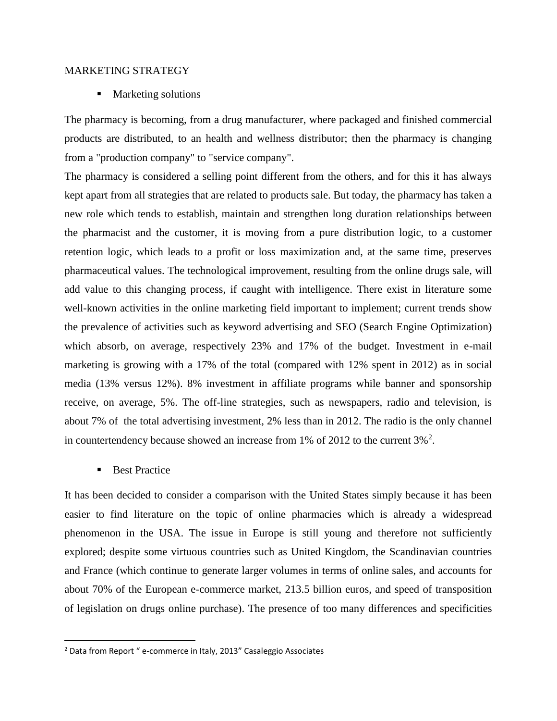#### MARKETING STRATEGY

**Marketing solutions** 

The pharmacy is becoming, from a drug manufacturer, where packaged and finished commercial products are distributed, to an health and wellness distributor; then the pharmacy is changing from a "production company" to "service company".

The pharmacy is considered a selling point different from the others, and for this it has always kept apart from all strategies that are related to products sale. But today, the pharmacy has taken a new role which tends to establish, maintain and strengthen long duration relationships between the pharmacist and the customer, it is moving from a pure distribution logic, to a customer retention logic, which leads to a profit or loss maximization and, at the same time, preserves pharmaceutical values. The technological improvement, resulting from the online drugs sale, will add value to this changing process, if caught with intelligence. There exist in literature some well-known activities in the online marketing field important to implement; current trends show the prevalence of activities such as keyword advertising and SEO (Search Engine Optimization) which absorb, on average, respectively 23% and 17% of the budget. Investment in e-mail marketing is growing with a 17% of the total (compared with 12% spent in 2012) as in social media (13% versus 12%). 8% investment in affiliate programs while banner and sponsorship receive, on average, 5%. The off-line strategies, such as newspapers, radio and television, is about 7% of the total advertising investment, 2% less than in 2012. The radio is the only channel in countertendency because showed an increase from 1% of 2012 to the current  $3\%$ <sup>2</sup>.

**Best Practice** 

 $\overline{\phantom{a}}$ 

It has been decided to consider a comparison with the United States simply because it has been easier to find literature on the topic of online pharmacies which is already a widespread phenomenon in the USA. The issue in Europe is still young and therefore not sufficiently explored; despite some virtuous countries such as United Kingdom, the Scandinavian countries and France (which continue to generate larger volumes in terms of online sales, and accounts for about 70% of the European e-commerce market, 213.5 billion euros, and speed of transposition of legislation on drugs online purchase). The presence of too many differences and specificities

<sup>&</sup>lt;sup>2</sup> Data from Report " e-commerce in Italy, 2013" Casaleggio Associates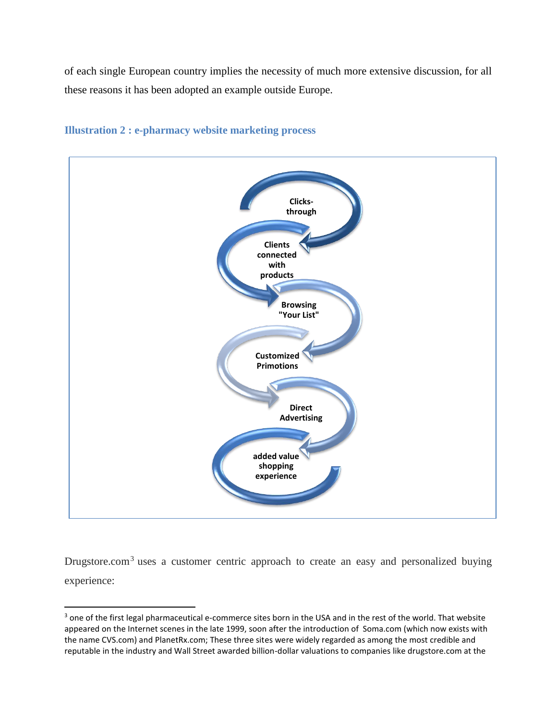of each single European country implies the necessity of much more extensive discussion, for all these reasons it has been adopted an example outside Europe.



# **Illustration 2 : e-pharmacy website marketing process**

Drugstore.com<sup>3</sup> uses a customer centric approach to create an easy and personalized buying experience:

 $\overline{a}$ 

<sup>&</sup>lt;sup>3</sup> one of the first legal pharmaceutical e-commerce sites born in the USA and in the rest of the world. That website appeared on the Internet scenes in the late 1999, soon after the introduction of Soma.com (which now exists with the name CVS.com) and PlanetRx.com; These three sites were widely regarded as among the most credible and reputable in the industry and Wall Street awarded billion-dollar valuations to companies like drugstore.com at the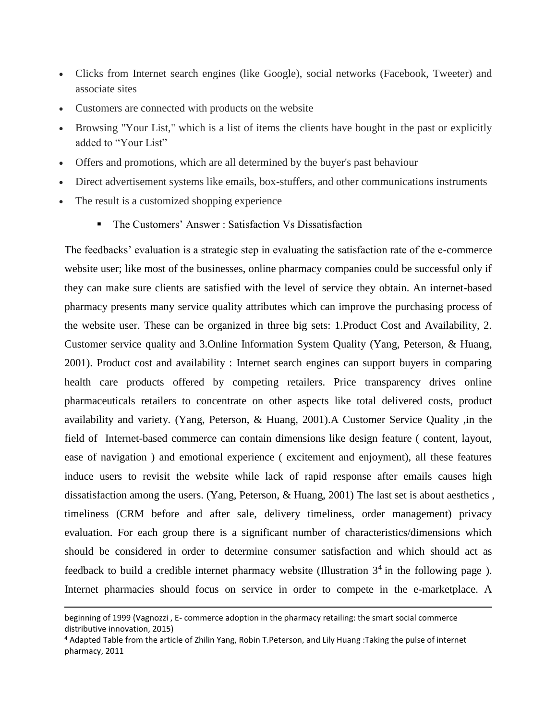- Clicks from Internet search engines (like Google), social networks (Facebook, Tweeter) and associate sites
- Customers are connected with products on the website
- Browsing "Your List," which is a list of items the clients have bought in the past or explicitly added to "Your List"
- Offers and promotions, which are all determined by the buyer's past behaviour
- Direct advertisement systems like emails, box-stuffers, and other communications instruments
- The result is a customized shopping experience

 $\overline{a}$ 

• The Customers' Answer : Satisfaction Vs Dissatisfaction

The feedbacks' evaluation is a strategic step in evaluating the satisfaction rate of the e-commerce website user; like most of the businesses, online pharmacy companies could be successful only if they can make sure clients are satisfied with the level of service they obtain. An internet-based pharmacy presents many service quality attributes which can improve the purchasing process of the website user. These can be organized in three big sets: 1.Product Cost and Availability, 2. Customer service quality and 3.Online Information System Quality (Yang, Peterson, & Huang, 2001). Product cost and availability : Internet search engines can support buyers in comparing health care products offered by competing retailers. Price transparency drives online pharmaceuticals retailers to concentrate on other aspects like total delivered costs, product availability and variety. (Yang, Peterson, & Huang, 2001).A Customer Service Quality ,in the field of Internet-based commerce can contain dimensions like design feature ( content, layout, ease of navigation ) and emotional experience ( excitement and enjoyment), all these features induce users to revisit the website while lack of rapid response after emails causes high dissatisfaction among the users. (Yang, Peterson, & Huang, 2001) The last set is about aesthetics , timeliness (CRM before and after sale, delivery timeliness, order management) privacy evaluation. For each group there is a significant number of characteristics/dimensions which should be considered in order to determine consumer satisfaction and which should act as feedback to build a credible internet pharmacy website (Illustration  $3<sup>4</sup>$  in the following page). Internet pharmacies should focus on service in order to compete in the e-marketplace. A

beginning of 1999 (Vagnozzi , E- commerce adoption in the pharmacy retailing: the smart social commerce distributive innovation, 2015)

<sup>4</sup> Adapted Table from the article of Zhilin Yang, Robin T.Peterson, and Lily Huang :Taking the pulse of internet pharmacy, 2011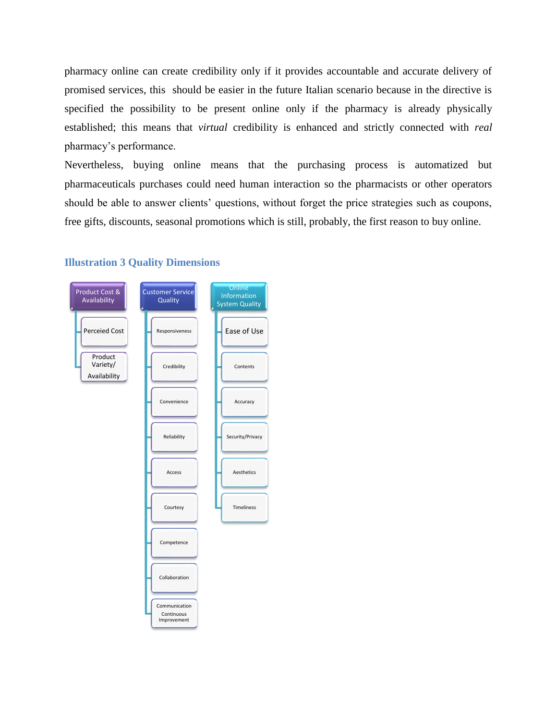pharmacy online can create credibility only if it provides accountable and accurate delivery of promised services, this should be easier in the future Italian scenario because in the directive is specified the possibility to be present online only if the pharmacy is already physically established; this means that *virtual* credibility is enhanced and strictly connected with *real* pharmacy's performance.

Nevertheless, buying online means that the purchasing process is automatized but pharmaceuticals purchases could need human interaction so the pharmacists or other operators should be able to answer clients' questions, without forget the price strategies such as coupons, free gifts, discounts, seasonal promotions which is still, probably, the first reason to buy online.



### **Illustration 3 Quality Dimensions**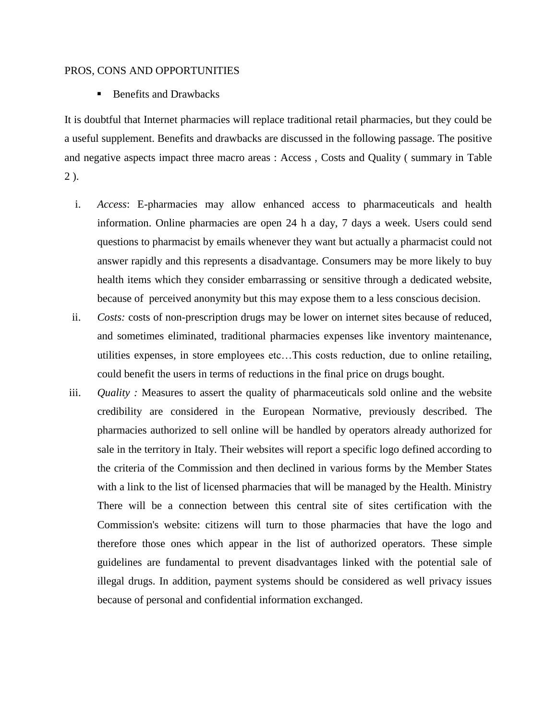#### PROS, CONS AND OPPORTUNITIES

■ Benefits and Drawbacks

It is doubtful that Internet pharmacies will replace traditional retail pharmacies, but they could be a useful supplement. Benefits and drawbacks are discussed in the following passage. The positive and negative aspects impact three macro areas : Access , Costs and Quality ( summary in Table 2 ).

- i. *Access*: E-pharmacies may allow enhanced access to pharmaceuticals and health information. Online pharmacies are open 24 h a day, 7 days a week. Users could send questions to pharmacist by emails whenever they want but actually a pharmacist could not answer rapidly and this represents a disadvantage. Consumers may be more likely to buy health items which they consider embarrassing or sensitive through a dedicated website, because of perceived anonymity but this may expose them to a less conscious decision.
- ii. *Costs:* costs of non-prescription drugs may be lower on internet sites because of reduced, and sometimes eliminated, traditional pharmacies expenses like inventory maintenance, utilities expenses, in store employees etc…This costs reduction, due to online retailing, could benefit the users in terms of reductions in the final price on drugs bought.
- iii. *Quality :* Measures to assert the quality of pharmaceuticals sold online and the website credibility are considered in the European Normative, previously described. The pharmacies authorized to sell online will be handled by operators already authorized for sale in the territory in Italy. Their websites will report a specific logo defined according to the criteria of the Commission and then declined in various forms by the Member States with a link to the list of licensed pharmacies that will be managed by the Health. Ministry There will be a connection between this central site of sites certification with the Commission's website: citizens will turn to those pharmacies that have the logo and therefore those ones which appear in the list of authorized operators. These simple guidelines are fundamental to prevent disadvantages linked with the potential sale of illegal drugs. In addition, payment systems should be considered as well privacy issues because of personal and confidential information exchanged.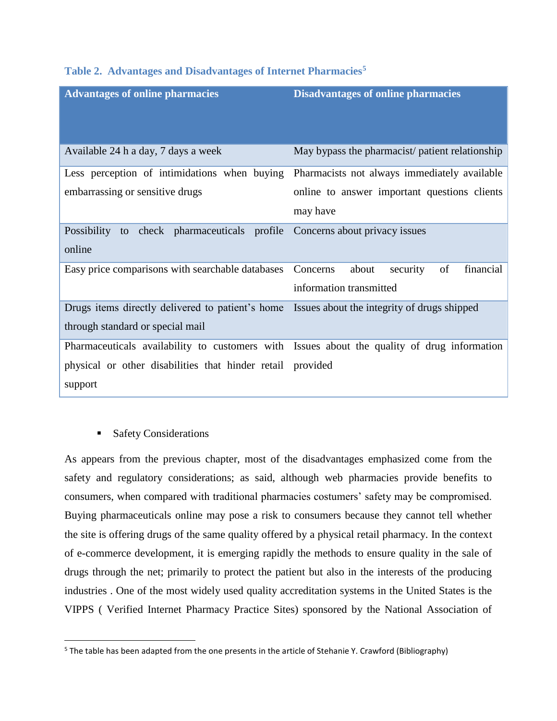| <b>Advantages of online pharmacies</b>                                                       | <b>Disadvantages of online pharmacies</b>       |
|----------------------------------------------------------------------------------------------|-------------------------------------------------|
|                                                                                              |                                                 |
|                                                                                              |                                                 |
| Available 24 h a day, 7 days a week                                                          | May bypass the pharmacist/ patient relationship |
| Less perception of intimidations when buying                                                 | Pharmacists not always immediately available    |
| embarrassing or sensitive drugs                                                              | online to answer important questions clients    |
|                                                                                              | may have                                        |
| Possibility to check pharmaceuticals profile Concerns about privacy issues                   |                                                 |
| online                                                                                       |                                                 |
| Easy price comparisons with searchable databases Concerns                                    | financial<br>about<br>of<br>security            |
|                                                                                              | information transmitted                         |
| Drugs items directly delivered to patient's home Issues about the integrity of drugs shipped |                                                 |
| through standard or special mail                                                             |                                                 |
| Pharmaceuticals availability to customers with Issues about the quality of drug information  |                                                 |
| physical or other disabilities that hinder retail provided                                   |                                                 |
| support                                                                                      |                                                 |

#### **Table 2. Advantages and Disadvantages of Internet Pharmacies<sup>5</sup>**

# **Safety Considerations**

 $\overline{\phantom{a}}$ 

As appears from the previous chapter, most of the disadvantages emphasized come from the safety and regulatory considerations; as said, although web pharmacies provide benefits to consumers, when compared with traditional pharmacies costumers' safety may be compromised. Buying pharmaceuticals online may pose a risk to consumers because they cannot tell whether the site is offering drugs of the same quality offered by a physical retail pharmacy. In the context of e-commerce development, it is emerging rapidly the methods to ensure quality in the sale of drugs through the net; primarily to protect the patient but also in the interests of the producing industries . One of the most widely used quality accreditation systems in the United States is the VIPPS ( Verified Internet Pharmacy Practice Sites) sponsored by the National Association of

<sup>&</sup>lt;sup>5</sup> The table has been adapted from the one presents in the article of Stehanie Y. Crawford (Bibliography)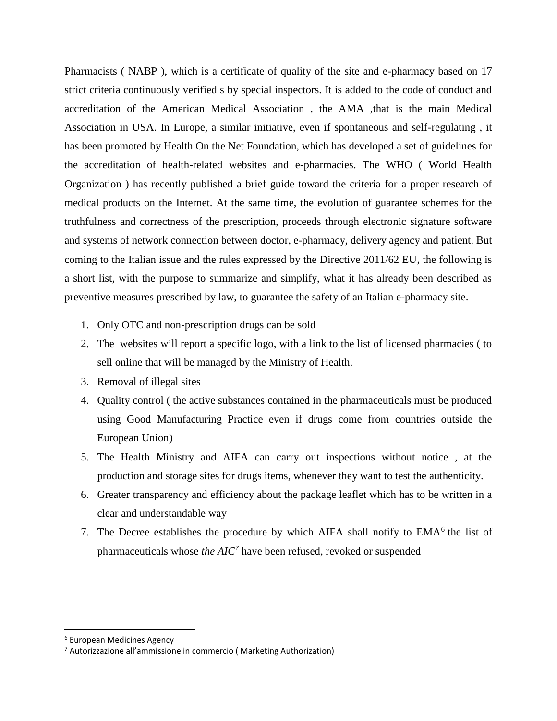Pharmacists ( NABP ), which is a certificate of quality of the site and e-pharmacy based on 17 strict criteria continuously verified s by special inspectors. It is added to the code of conduct and accreditation of the American Medical Association , the AMA ,that is the main Medical Association in USA. In Europe, a similar initiative, even if spontaneous and self-regulating , it has been promoted by Health On the Net Foundation, which has developed a set of guidelines for the accreditation of health-related websites and e-pharmacies. The WHO ( World Health Organization ) has recently published a brief guide toward the criteria for a proper research of medical products on the Internet. At the same time, the evolution of guarantee schemes for the truthfulness and correctness of the prescription, proceeds through electronic signature software and systems of network connection between doctor, e-pharmacy, delivery agency and patient. But coming to the Italian issue and the rules expressed by the Directive 2011/62 EU, the following is a short list, with the purpose to summarize and simplify, what it has already been described as preventive measures prescribed by law, to guarantee the safety of an Italian e-pharmacy site.

- 1. Only OTC and non-prescription drugs can be sold
- 2. The websites will report a specific logo, with a link to the list of licensed pharmacies ( to sell online that will be managed by the Ministry of Health.
- 3. Removal of illegal sites
- 4. Quality control ( the active substances contained in the pharmaceuticals must be produced using Good Manufacturing Practice even if drugs come from countries outside the European Union)
- 5. The Health Ministry and AIFA can carry out inspections without notice , at the production and storage sites for drugs items, whenever they want to test the authenticity.
- 6. Greater transparency and efficiency about the package leaflet which has to be written in a clear and understandable way
- 7. The Decree establishes the procedure by which AIFA shall notify to  $EMA<sup>6</sup>$  the list of pharmaceuticals whose *the AIC<sup>7</sup>* have been refused, revoked or suspended

l

<sup>6</sup> European Medicines Agency

<sup>7</sup> Autorizzazione all'ammissione in commercio ( Marketing Authorization)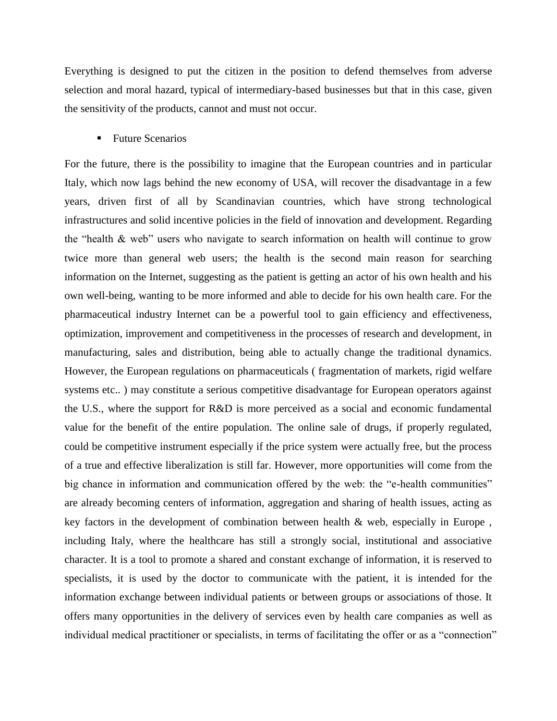Everything is designed to put the citizen in the position to defend themselves from adverse selection and moral hazard, typical of intermediary-based businesses but that in this case, given the sensitivity of the products, cannot and must not occur.

#### ■ Future Scenarios

For the future, there is the possibility to imagine that the European countries and in particular Italy, which now lags behind the new economy of USA, will recover the disadvantage in a few years, driven first of all by Scandinavian countries, which have strong technological infrastructures and solid incentive policies in the field of innovation and development. Regarding the "health & web" users who navigate to search information on health will continue to grow twice more than general web users; the health is the second main reason for searching information on the Internet, suggesting as the patient is getting an actor of his own health and his own well-being, wanting to be more informed and able to decide for his own health care. For the pharmaceutical industry Internet can be a powerful tool to gain efficiency and effectiveness, optimization, improvement and competitiveness in the processes of research and development, in manufacturing, sales and distribution, being able to actually change the traditional dynamics. However, the European regulations on pharmaceuticals ( fragmentation of markets, rigid welfare systems etc.. ) may constitute a serious competitive disadvantage for European operators against the U.S., where the support for R&D is more perceived as a social and economic fundamental value for the benefit of the entire population. The online sale of drugs, if properly regulated, could be competitive instrument especially if the price system were actually free, but the process of a true and effective liberalization is still far. However, more opportunities will come from the big chance in information and communication offered by the web: the "e-health communities" are already becoming centers of information, aggregation and sharing of health issues, acting as key factors in the development of combination between health & web, especially in Europe , including Italy, where the healthcare has still a strongly social, institutional and associative character. It is a tool to promote a shared and constant exchange of information, it is reserved to specialists, it is used by the doctor to communicate with the patient, it is intended for the information exchange between individual patients or between groups or associations of those. It offers many opportunities in the delivery of services even by health care companies as well as individual medical practitioner or specialists, in terms of facilitating the offer or as a "connection"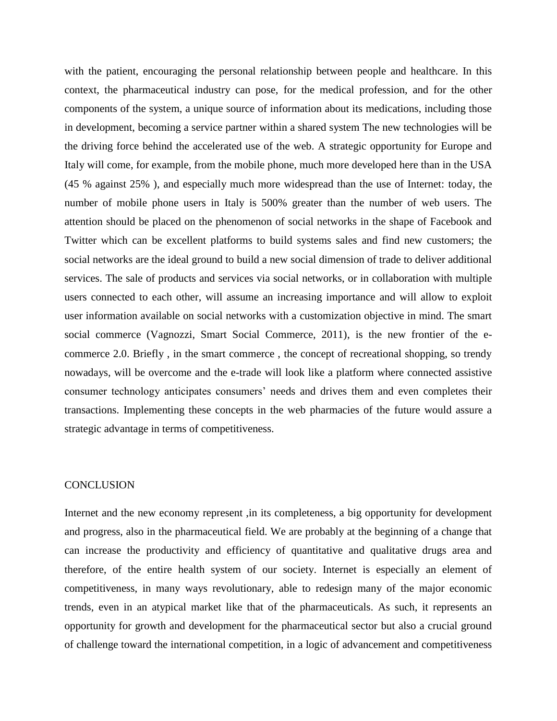with the patient, encouraging the personal relationship between people and healthcare. In this context, the pharmaceutical industry can pose, for the medical profession, and for the other components of the system, a unique source of information about its medications, including those in development, becoming a service partner within a shared system The new technologies will be the driving force behind the accelerated use of the web. A strategic opportunity for Europe and Italy will come, for example, from the mobile phone, much more developed here than in the USA (45 % against 25% ), and especially much more widespread than the use of Internet: today, the number of mobile phone users in Italy is 500% greater than the number of web users. The attention should be placed on the phenomenon of social networks in the shape of Facebook and Twitter which can be excellent platforms to build systems sales and find new customers; the social networks are the ideal ground to build a new social dimension of trade to deliver additional services. The sale of products and services via social networks, or in collaboration with multiple users connected to each other, will assume an increasing importance and will allow to exploit user information available on social networks with a customization objective in mind. The smart social commerce (Vagnozzi, Smart Social Commerce, 2011), is the new frontier of the ecommerce 2.0. Briefly , in the smart commerce , the concept of recreational shopping, so trendy nowadays, will be overcome and the e-trade will look like a platform where connected assistive consumer technology anticipates consumers' needs and drives them and even completes their transactions. Implementing these concepts in the web pharmacies of the future would assure a strategic advantage in terms of competitiveness.

#### **CONCLUSION**

Internet and the new economy represent ,in its completeness, a big opportunity for development and progress, also in the pharmaceutical field. We are probably at the beginning of a change that can increase the productivity and efficiency of quantitative and qualitative drugs area and therefore, of the entire health system of our society. Internet is especially an element of competitiveness, in many ways revolutionary, able to redesign many of the major economic trends, even in an atypical market like that of the pharmaceuticals. As such, it represents an opportunity for growth and development for the pharmaceutical sector but also a crucial ground of challenge toward the international competition, in a logic of advancement and competitiveness